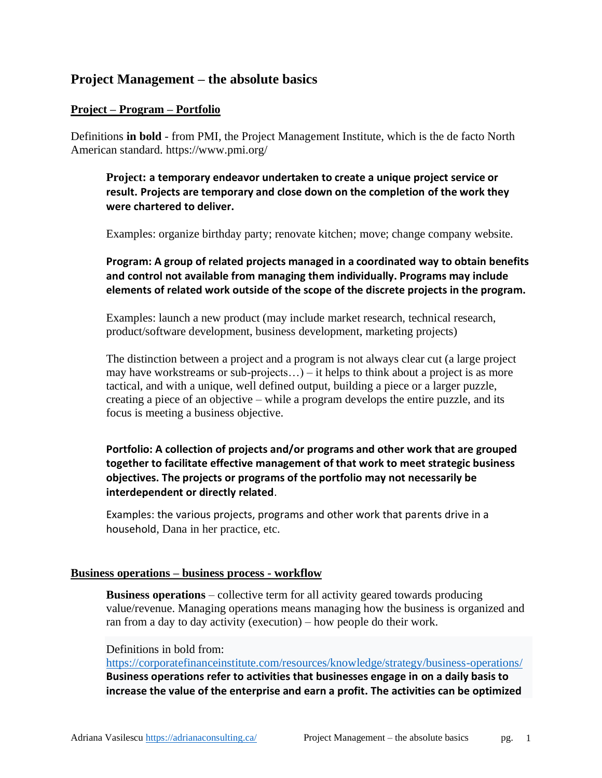# **Project Management – the absolute basics**

### **Project – Program – Portfolio**

Definitions **in bold** - from PMI, the Project Management Institute, which is the de facto North American standard. https://www.pmi.org/

**Project: a temporary endeavor undertaken to create a unique project service or result. Projects are temporary and close down on the completion of the work they were chartered to deliver.**

Examples: organize birthday party; renovate kitchen; move; change company website.

**Program: A group of related projects managed in a coordinated way to obtain benefits and control not available from managing them individually. Programs may include elements of related work outside of the scope of the discrete projects in the program.**

Examples: launch a new product (may include market research, technical research, product/software development, business development, marketing projects)

The distinction between a project and a program is not always clear cut (a large project may have workstreams or sub-projects…) – it helps to think about a project is as more tactical, and with a unique, well defined output, building a piece or a larger puzzle, creating a piece of an objective – while a program develops the entire puzzle, and its focus is meeting a business objective.

**Portfolio: A collection of projects and/or programs and other work that are grouped together to facilitate effective management of that work to meet strategic business objectives. The projects or programs of the portfolio may not necessarily be interdependent or directly related**.

Examples: the various projects, programs and other work that parents drive in a household, Dana in her practice, etc.

### **Business operations – business process - workflow**

**Business operations** – collective term for all activity geared towards producing value/revenue. Managing operations means managing how the business is organized and ran from a day to day activity (execution) – how people do their work.

### Definitions in bold from:

<https://corporatefinanceinstitute.com/resources/knowledge/strategy/business-operations/> **Business operations refer to activities that businesses engage in on a daily basis to increase the value of the enterprise and earn a profit. The activities can be optimized**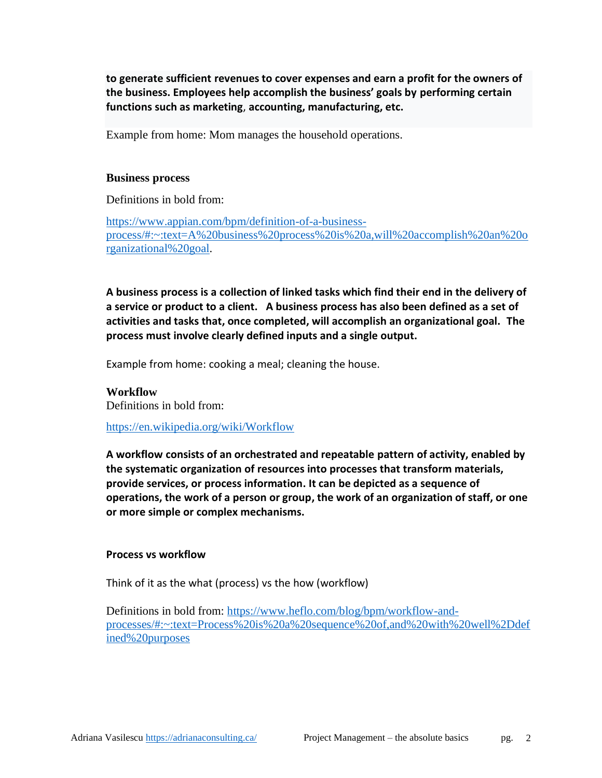**to generate sufficient revenues to cover expenses and earn a profit for the owners of the business. Employees help accomplish the business' goals by performing certain functions such as marketing**, **accounting, manufacturing, etc.**

Example from home: Mom manages the household operations.

#### **Business process**

Definitions in bold from:

[https://www.appian.com/bpm/definition-of-a-business](https://www.appian.com/bpm/definition-of-a-business-process/#:~:text=A%20business%20process%20is%20a,will%20accomplish%20an%20organizational%20goal)[process/#:~:text=A%20business%20process%20is%20a,will%20accomplish%20an%20o](https://www.appian.com/bpm/definition-of-a-business-process/#:~:text=A%20business%20process%20is%20a,will%20accomplish%20an%20organizational%20goal) [rganizational%20goal.](https://www.appian.com/bpm/definition-of-a-business-process/#:~:text=A%20business%20process%20is%20a,will%20accomplish%20an%20organizational%20goal)

**A business process is a collection of linked tasks which find their end in the delivery of a service or product to a client. A business process has also been defined as a set of activities and tasks that, once completed, will accomplish an organizational goal. The process must involve clearly defined inputs and a single output.**

Example from home: cooking a meal; cleaning the house.

**Workflow** Definitions in bold from:

<https://en.wikipedia.org/wiki/Workflow>

**A workflow consists of an orchestrated and repeatable [pattern](https://en.wikipedia.org/wiki/Pattern) of activity, enabled by the systematic organization of [resources](https://en.wikipedia.org/wiki/Resource) into [processes](https://en.wikipedia.org/wiki/Process) that transform materials, provide services, or process information. It can be depicted as a sequence of operations, the work of a person or group, the work of an organization of staff, or one or more simple or complex mechanisms.**

#### **Process vs workflow**

Think of it as the what (process) vs the how (workflow)

Definitions in bold from: [https://www.heflo.com/blog/bpm/workflow-and](https://www.heflo.com/blog/bpm/workflow-and-processes/#:~:text=Process%20is%20a%20sequence%20of,and%20with%20well%2Ddefined%20purposes)[processes/#:~:text=Process%20is%20a%20sequence%20of,and%20with%20well%2Ddef](https://www.heflo.com/blog/bpm/workflow-and-processes/#:~:text=Process%20is%20a%20sequence%20of,and%20with%20well%2Ddefined%20purposes) [ined%20purposes](https://www.heflo.com/blog/bpm/workflow-and-processes/#:~:text=Process%20is%20a%20sequence%20of,and%20with%20well%2Ddefined%20purposes)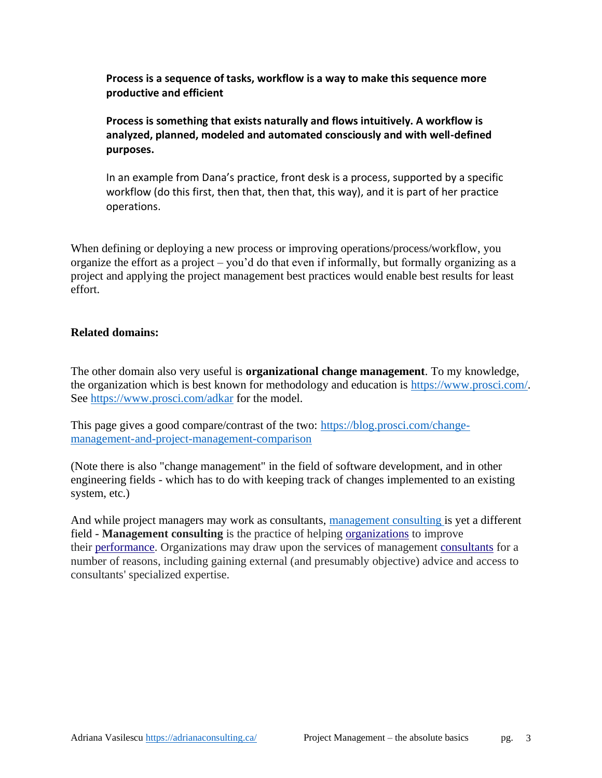**Process is a sequence of tasks, workflow is a way to make this sequence more productive and efficient**

**Process is something that exists naturally and flows intuitively. A workflow is analyzed, planned, modeled and automated consciously and with well-defined purposes.**

In an example from Dana's practice, front desk is a process, supported by a specific workflow (do this first, then that, then that, this way), and it is part of her practice operations.

When defining or deploying a new process or improving operations/process/workflow, you organize the effort as a project – you'd do that even if informally, but formally organizing as a project and applying the project management best practices would enable best results for least effort.

### **Related domains:**

The other domain also very useful is **organizational change management**. To my knowledge, the organization which is best known for methodology and education is [https://www.prosci.com/.](https://www.prosci.com/) See <https://www.prosci.com/adkar> for the model.

This page gives a good compare/contrast of the two: [https://blog.prosci.com/change](https://blog.prosci.com/change-management-and-project-management-comparison)[management-and-project-management-comparison](https://blog.prosci.com/change-management-and-project-management-comparison)

(Note there is also "change management" in the field of software development, and in other engineering fields - which has to do with keeping track of changes implemented to an existing system, etc.)

And while project managers may work as consultants, [management](https://en.wikipedia.org/wiki/Management_consulting#:~:text=Management%20consulting%20is%20the%20practice,access%20to%20consultants) consulting is yet a different field - **Management consulting** is the practice of helping [organizations](https://en.wikipedia.org/wiki/Organization) to improve their [performance.](https://en.wikipedia.org/wiki/Performance_management) Organizations may draw upon the services of management [consultants](https://en.wikipedia.org/wiki/Consultants) for a number of reasons, including gaining external (and presumably objective) advice and access to consultants' specialized expertise.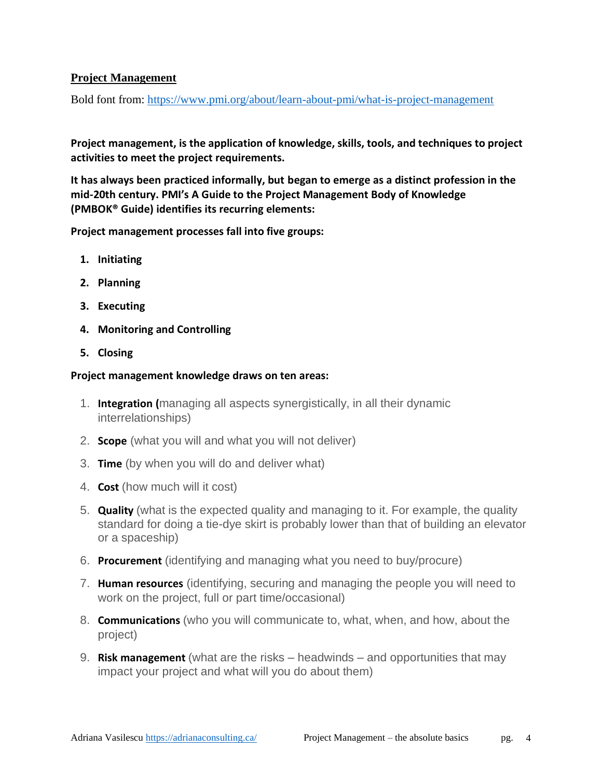## **Project Management**

Bold font from:<https://www.pmi.org/about/learn-about-pmi/what-is-project-management>

**Project management, is the application of knowledge, skills, tools, and techniques to project activities to meet the project requirements.**

**It has always been practiced informally, but began to emerge as a distinct profession in the mid-20th century. PMI's A Guide to the Project Management Body of Knowledge (PMBOK® Guide) identifies its recurring elements:**

**Project management processes fall into five groups:**

- **1. Initiating**
- **2. Planning**
- **3. Executing**
- **4. Monitoring and Controlling**
- **5. Closing**

### **Project management knowledge draws on ten areas:**

- 1. **Integration (**managing all aspects synergistically, in all their dynamic interrelationships)
- 2. **Scope** (what you will and what you will not deliver)
- 3. **Time** (by when you will do and deliver what)
- 4. **Cost** (how much will it cost)
- 5. **Quality** (what is the expected quality and managing to it. For example, the quality standard for doing a tie-dye skirt is probably lower than that of building an elevator or a spaceship)
- 6. **Procurement** (identifying and managing what you need to buy/procure)
- 7. **Human resources** (identifying, securing and managing the people you will need to work on the project, full or part time/occasional)
- 8. **Communications** (who you will communicate to, what, when, and how, about the project)
- 9. **Risk management** (what are the risks headwinds and opportunities that may impact your project and what will you do about them)